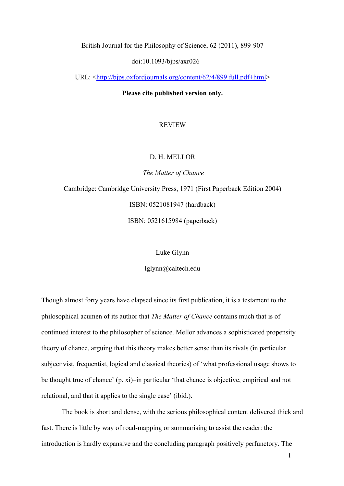British Journal for the Philosophy of Science, 62 (2011), 899-907

doi:10.1093/bjps/axr026

URL: <http://bjps.oxfordjournals.org/content/62/4/899.full.pdf+html>

**Please cite published version only.**

## REVIEW

#### D. H. MELLOR

*The Matter of Chance* Cambridge: Cambridge University Press, 1971 (First Paperback Edition 2004) ISBN: 0521081947 (hardback) ISBN: 0521615984 (paperback)

Luke Glynn

lglynn@caltech.edu

Though almost forty years have elapsed since its first publication, it is a testament to the philosophical acumen of its author that *The Matter of Chance* contains much that is of continued interest to the philosopher of science. Mellor advances a sophisticated propensity theory of chance, arguing that this theory makes better sense than its rivals (in particular subjectivist, frequentist, logical and classical theories) of 'what professional usage shows to be thought true of chance' (p. xi)–in particular 'that chance is objective, empirical and not relational, and that it applies to the single case' (ibid.).

The book is short and dense, with the serious philosophical content delivered thick and fast. There is little by way of road-mapping or summarising to assist the reader: the introduction is hardly expansive and the concluding paragraph positively perfunctory. The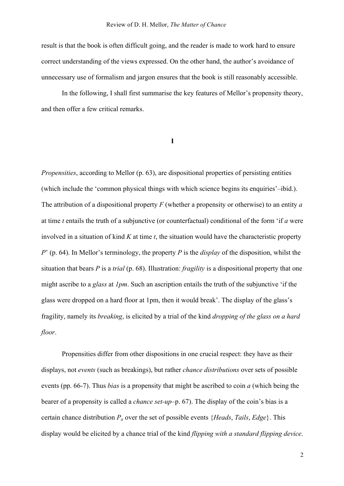result is that the book is often difficult going, and the reader is made to work hard to ensure correct understanding of the views expressed. On the other hand, the author's avoidance of unnecessary use of formalism and jargon ensures that the book is still reasonably accessible.

In the following, I shall first summarise the key features of Mellor's propensity theory, and then offer a few critical remarks.

**I**

*Propensities*, according to Mellor (p. 63), are dispositional properties of persisting entities (which include the 'common physical things with which science begins its enquiries'–ibid.). The attribution of a dispositional property *F* (whether a propensity or otherwise) to an entity *a*  at time *t* entails the truth of a subjunctive (or counterfactual) conditional of the form 'if *a* were involved in a situation of kind *K* at time *t*, the situation would have the characteristic property *P*' (p. 64). In Mellor's terminology, the property *P* is the *display* of the disposition, whilst the situation that bears *P* is a *trial* (p. 68). Illustration: *fragility* is a dispositional property that one might ascribe to a *glass* at *1pm*. Such an ascription entails the truth of the subjunctive 'if the glass were dropped on a hard floor at 1pm, then it would break'. The display of the glass's fragility, namely its *breaking*, is elicited by a trial of the kind *dropping of the glass on a hard floor*.

Propensities differ from other dispositions in one crucial respect: they have as their displays, not *events* (such as breakings), but rather *chance distributions* over sets of possible events (pp. 66-7). Thus *bias* is a propensity that might be ascribed to coin *a* (which being the bearer of a propensity is called a *chance set-up*–p. 67). The display of the coin's bias is a certain chance distribution *Pa* over the set of possible events {*Heads*, *Tails*, *Edge*}. This display would be elicited by a chance trial of the kind *flipping with a standard flipping device*.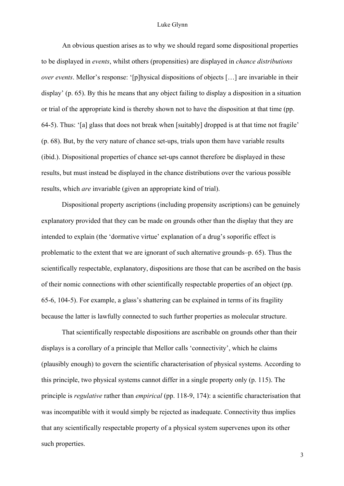### Luke Glynn

An obvious question arises as to why we should regard some dispositional properties to be displayed in *events*, whilst others (propensities) are displayed in *chance distributions over events*. Mellor's response: '[p]hysical dispositions of objects […] are invariable in their display' (p. 65). By this he means that any object failing to display a disposition in a situation or trial of the appropriate kind is thereby shown not to have the disposition at that time (pp. 64-5). Thus: '[a] glass that does not break when [suitably] dropped is at that time not fragile' (p. 68). But, by the very nature of chance set-ups, trials upon them have variable results (ibid.). Dispositional properties of chance set-ups cannot therefore be displayed in these results, but must instead be displayed in the chance distributions over the various possible results, which *are* invariable (given an appropriate kind of trial).

Dispositional property ascriptions (including propensity ascriptions) can be genuinely explanatory provided that they can be made on grounds other than the display that they are intended to explain (the 'dormative virtue' explanation of a drug's soporific effect is problematic to the extent that we are ignorant of such alternative grounds–p. 65). Thus the scientifically respectable, explanatory, dispositions are those that can be ascribed on the basis of their nomic connections with other scientifically respectable properties of an object (pp. 65-6, 104-5). For example, a glass's shattering can be explained in terms of its fragility because the latter is lawfully connected to such further properties as molecular structure.

That scientifically respectable dispositions are ascribable on grounds other than their displays is a corollary of a principle that Mellor calls 'connectivity', which he claims (plausibly enough) to govern the scientific characterisation of physical systems. According to this principle, two physical systems cannot differ in a single property only (p. 115). The principle is *regulative* rather than *empirical* (pp. 118-9, 174): a scientific characterisation that was incompatible with it would simply be rejected as inadequate. Connectivity thus implies that any scientifically respectable property of a physical system supervenes upon its other such properties.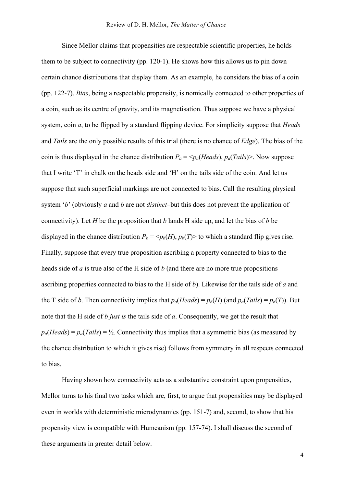Since Mellor claims that propensities are respectable scientific properties, he holds them to be subject to connectivity (pp. 120-1). He shows how this allows us to pin down certain chance distributions that display them. As an example, he considers the bias of a coin (pp. 122-7). *Bias*, being a respectable propensity, is nomically connected to other properties of a coin, such as its centre of gravity, and its magnetisation. Thus suppose we have a physical system, coin *a*, to be flipped by a standard flipping device. For simplicity suppose that *Heads*  and *Tails* are the only possible results of this trial (there is no chance of *Edge*). The bias of the coin is thus displayed in the chance distribution  $P_a = \langle p_a (Heads), p_a (Tails) \rangle$ . Now suppose that I write 'T' in chalk on the heads side and 'H' on the tails side of the coin. And let us suppose that such superficial markings are not connected to bias. Call the resulting physical system '*b*' (obviously *a* and *b* are not *distinct*–but this does not prevent the application of connectivity). Let *H* be the proposition that *b* lands H side up, and let the bias of *b* be displayed in the chance distribution  $P_b = \langle p_b(H), p_b(T) \rangle$  to which a standard flip gives rise. Finally, suppose that every true proposition ascribing a property connected to bias to the heads side of *a* is true also of the H side of *b* (and there are no more true propositions ascribing properties connected to bias to the H side of *b*). Likewise for the tails side of *a* and the T side of *b*. Then connectivity implies that  $p_a(Heads) = p_b(H)$  (and  $p_a(Tails) = p_b(T)$ ). But note that the H side of *b just is* the tails side of *a*. Consequently, we get the result that  $p_a(Heads) = p_a(Tails) = \frac{1}{2}$ . Connectivity thus implies that a symmetric bias (as measured by the chance distribution to which it gives rise) follows from symmetry in all respects connected to bias.

Having shown how connectivity acts as a substantive constraint upon propensities, Mellor turns to his final two tasks which are, first, to argue that propensities may be displayed even in worlds with deterministic microdynamics (pp. 151-7) and, second, to show that his propensity view is compatible with Humeanism (pp. 157-74). I shall discuss the second of these arguments in greater detail below.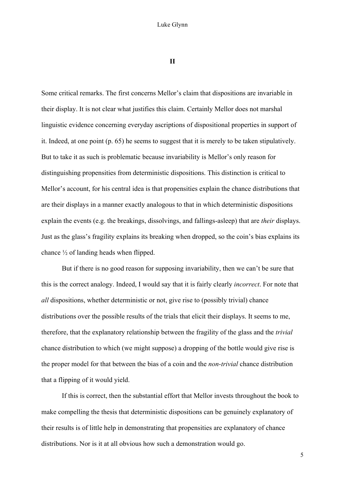**II**

Some critical remarks. The first concerns Mellor's claim that dispositions are invariable in their display. It is not clear what justifies this claim. Certainly Mellor does not marshal linguistic evidence concerning everyday ascriptions of dispositional properties in support of it. Indeed, at one point (p. 65) he seems to suggest that it is merely to be taken stipulatively. But to take it as such is problematic because invariability is Mellor's only reason for distinguishing propensities from deterministic dispositions. This distinction is critical to Mellor's account, for his central idea is that propensities explain the chance distributions that are their displays in a manner exactly analogous to that in which deterministic dispositions explain the events (e.g. the breakings, dissolvings, and fallings-asleep) that are *their* displays. Just as the glass's fragility explains its breaking when dropped, so the coin's bias explains its chance ½ of landing heads when flipped.

But if there is no good reason for supposing invariability, then we can't be sure that this is the correct analogy. Indeed, I would say that it is fairly clearly *incorrect*. For note that *all* dispositions, whether deterministic or not, give rise to (possibly trivial) chance distributions over the possible results of the trials that elicit their displays. It seems to me, therefore, that the explanatory relationship between the fragility of the glass and the *trivial* chance distribution to which (we might suppose) a dropping of the bottle would give rise is the proper model for that between the bias of a coin and the *non-trivial* chance distribution that a flipping of it would yield.

If this is correct, then the substantial effort that Mellor invests throughout the book to make compelling the thesis that deterministic dispositions can be genuinely explanatory of their results is of little help in demonstrating that propensities are explanatory of chance distributions. Nor is it at all obvious how such a demonstration would go.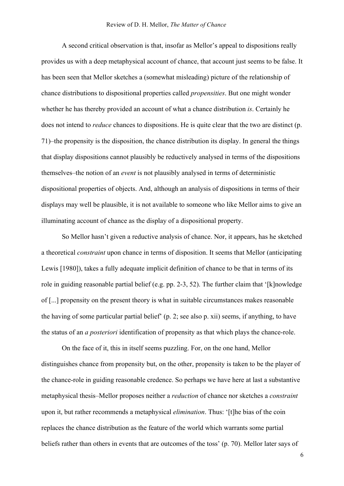### Review of D. H. Mellor, *The Matter of Chance*

A second critical observation is that, insofar as Mellor's appeal to dispositions really provides us with a deep metaphysical account of chance, that account just seems to be false. It has been seen that Mellor sketches a (somewhat misleading) picture of the relationship of chance distributions to dispositional properties called *propensities*. But one might wonder whether he has thereby provided an account of what a chance distribution *is*. Certainly he does not intend to *reduce* chances to dispositions. He is quite clear that the two are distinct (p. 71)–the propensity is the disposition, the chance distribution its display. In general the things that display dispositions cannot plausibly be reductively analysed in terms of the dispositions themselves–the notion of an *event* is not plausibly analysed in terms of deterministic dispositional properties of objects. And, although an analysis of dispositions in terms of their displays may well be plausible, it is not available to someone who like Mellor aims to give an illuminating account of chance as the display of a dispositional property.

So Mellor hasn't given a reductive analysis of chance. Nor, it appears, has he sketched a theoretical *constraint* upon chance in terms of disposition. It seems that Mellor (anticipating Lewis [1980]), takes a fully adequate implicit definition of chance to be that in terms of its role in guiding reasonable partial belief (e.g. pp. 2-3, 52). The further claim that '[k]nowledge of [...] propensity on the present theory is what in suitable circumstances makes reasonable the having of some particular partial belief' (p. 2; see also p. xii) seems, if anything, to have the status of an *a posteriori* identification of propensity as that which plays the chance-role.

On the face of it, this in itself seems puzzling. For, on the one hand, Mellor distinguishes chance from propensity but, on the other, propensity is taken to be the player of the chance-role in guiding reasonable credence. So perhaps we have here at last a substantive metaphysical thesis–Mellor proposes neither a *reduction* of chance nor sketches a *constraint*  upon it, but rather recommends a metaphysical *elimination*. Thus: '[t]he bias of the coin replaces the chance distribution as the feature of the world which warrants some partial beliefs rather than others in events that are outcomes of the toss' (p. 70). Mellor later says of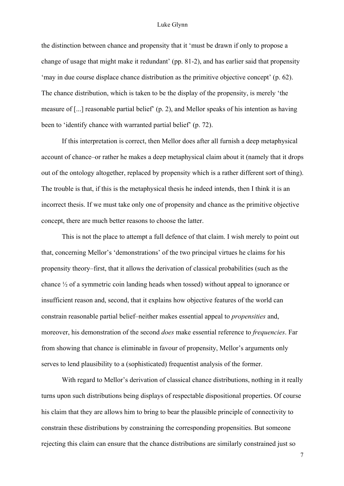### Luke Glynn

the distinction between chance and propensity that it 'must be drawn if only to propose a change of usage that might make it redundant' (pp. 81-2), and has earlier said that propensity 'may in due course displace chance distribution as the primitive objective concept' (p. 62). The chance distribution, which is taken to be the display of the propensity, is merely 'the measure of [...] reasonable partial belief' (p. 2), and Mellor speaks of his intention as having been to 'identify chance with warranted partial belief' (p. 72).

If this interpretation is correct, then Mellor does after all furnish a deep metaphysical account of chance–or rather he makes a deep metaphysical claim about it (namely that it drops out of the ontology altogether, replaced by propensity which is a rather different sort of thing). The trouble is that, if this is the metaphysical thesis he indeed intends, then I think it is an incorrect thesis. If we must take only one of propensity and chance as the primitive objective concept, there are much better reasons to choose the latter.

This is not the place to attempt a full defence of that claim. I wish merely to point out that, concerning Mellor's 'demonstrations' of the two principal virtues he claims for his propensity theory–first, that it allows the derivation of classical probabilities (such as the chance ½ of a symmetric coin landing heads when tossed) without appeal to ignorance or insufficient reason and, second, that it explains how objective features of the world can constrain reasonable partial belief–neither makes essential appeal to *propensities* and, moreover, his demonstration of the second *does* make essential reference to *frequencies*. Far from showing that chance is eliminable in favour of propensity, Mellor's arguments only serves to lend plausibility to a (sophisticated) frequentist analysis of the former.

With regard to Mellor's derivation of classical chance distributions, nothing in it really turns upon such distributions being displays of respectable dispositional properties. Of course his claim that they are allows him to bring to bear the plausible principle of connectivity to constrain these distributions by constraining the corresponding propensities. But someone rejecting this claim can ensure that the chance distributions are similarly constrained just so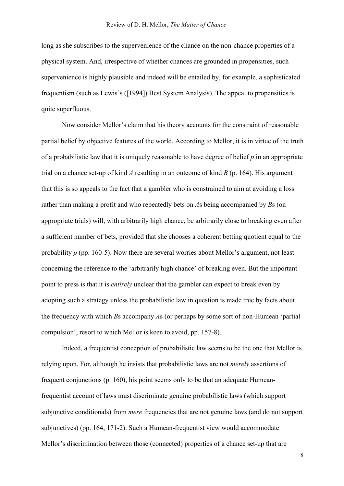long as she subscribes to the supervenience of the chance on the non-chance properties of a physical system. And, irrespective of whether chances are grounded in propensities, such supervenience is highly plausible and indeed will be entailed by, for example, a sophisticated frequentism (such as Lewis's ([1994]) Best System Analysis). The appeal to propensities is quite superfluous.

Now consider Mellor's claim that his theory accounts for the constraint of reasonable partial belief by objective features of the world. According to Mellor, it is in virtue of the truth of a probabilistic law that it is uniquely reasonable to have degree of belief *p* in an appropriate trial on a chance set-up of kind *A* resulting in an outcome of kind *B* (p. 164). His argument that this is so appeals to the fact that a gambler who is constrained to aim at avoiding a loss rather than making a profit and who repeatedly bets on *A*s being accompanied by *B*s (on appropriate trials) will, with arbitrarily high chance, be arbitrarily close to breaking even after a sufficient number of bets, provided that she chooses a coherent betting quotient equal to the probability *p* (pp. 160-5). Now there are several worries about Mellor's argument, not least concerning the reference to the 'arbitrarily high chance' of breaking even. But the important point to press is that it is *entirely* unclear that the gambler can expect to break even by adopting such a strategy unless the probabilistic law in question is made true by facts about the frequency with which *B*s accompany *A*s (or perhaps by some sort of non-Humean 'partial compulsion', resort to which Mellor is keen to avoid, pp. 157-8).

Indeed, a frequentist conception of probabilistic law seems to be the one that Mellor is relying upon. For, although he insists that probabilistic laws are not *merely* assertions of frequent conjunctions (p. 160), his point seems only to be that an adequate Humeanfrequentist account of laws must discriminate genuine probabilistic laws (which support subjunctive conditionals) from *mere* frequencies that are not genuine laws (and do not support subjunctives) (pp. 164, 171-2). Such a Humean-frequentist view would accommodate Mellor's discrimination between those (connected) properties of a chance set-up that are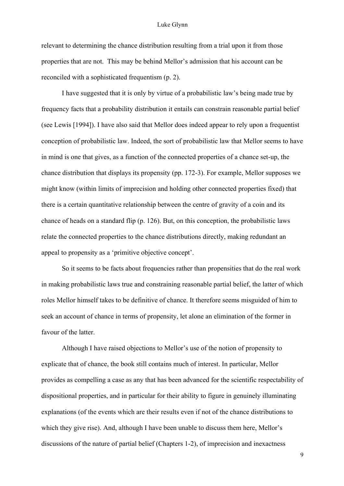### Luke Glynn

relevant to determining the chance distribution resulting from a trial upon it from those properties that are not. This may be behind Mellor's admission that his account can be reconciled with a sophisticated frequentism (p. 2).

I have suggested that it is only by virtue of a probabilistic law's being made true by frequency facts that a probability distribution it entails can constrain reasonable partial belief (see Lewis [1994]). I have also said that Mellor does indeed appear to rely upon a frequentist conception of probabilistic law. Indeed, the sort of probabilistic law that Mellor seems to have in mind is one that gives, as a function of the connected properties of a chance set-up, the chance distribution that displays its propensity (pp. 172-3). For example, Mellor supposes we might know (within limits of imprecision and holding other connected properties fixed) that there is a certain quantitative relationship between the centre of gravity of a coin and its chance of heads on a standard flip (p. 126). But, on this conception, the probabilistic laws relate the connected properties to the chance distributions directly, making redundant an appeal to propensity as a 'primitive objective concept'.

So it seems to be facts about frequencies rather than propensities that do the real work in making probabilistic laws true and constraining reasonable partial belief, the latter of which roles Mellor himself takes to be definitive of chance. It therefore seems misguided of him to seek an account of chance in terms of propensity, let alone an elimination of the former in favour of the latter.

Although I have raised objections to Mellor's use of the notion of propensity to explicate that of chance, the book still contains much of interest. In particular, Mellor provides as compelling a case as any that has been advanced for the scientific respectability of dispositional properties, and in particular for their ability to figure in genuinely illuminating explanations (of the events which are their results even if not of the chance distributions to which they give rise). And, although I have been unable to discuss them here, Mellor's discussions of the nature of partial belief (Chapters 1-2), of imprecision and inexactness